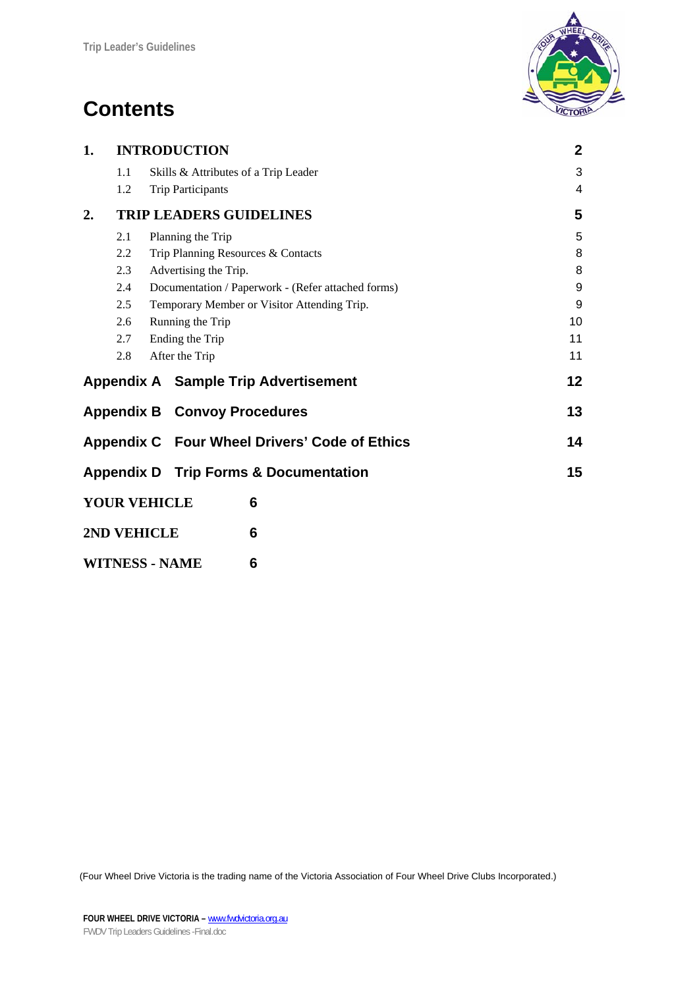# **Contents**



| 1. |     | <b>INTRODUCTION</b>                                | $\mathbf{2}$ |
|----|-----|----------------------------------------------------|--------------|
|    | 1.1 | Skills & Attributes of a Trip Leader               | 3            |
|    | 1.2 | <b>Trip Participants</b>                           | 4            |
| 2. |     | <b>TRIP LEADERS GUIDELINES</b>                     | 5            |
|    | 2.1 | Planning the Trip                                  | 5            |
|    | 2.2 | Trip Planning Resources & Contacts                 | 8            |
|    | 2.3 | Advertising the Trip.                              | 8            |
|    | 2.4 | Documentation / Paperwork - (Refer attached forms) | 9            |
|    | 2.5 | Temporary Member or Visitor Attending Trip.        | 9            |
|    | 2.6 | Running the Trip                                   | 10           |
|    | 2.7 | Ending the Trip                                    | 11           |
|    | 2.8 | After the Trip                                     | 11           |
|    |     | <b>Appendix A</b> Sample Trip Advertisement        | 12           |
|    |     | <b>Appendix B Convoy Procedures</b>                | 13           |
|    |     | Appendix C Four Wheel Drivers' Code of Ethics      | 14           |
|    |     | <b>Appendix D</b> Trip Forms & Documentation       | 15           |
|    |     | <b>YOUR VEHICLE</b><br>6                           |              |
|    |     | 2ND VEHICLE<br>6                                   |              |
|    |     | <b>WITNESS - NAME</b><br>6                         |              |

(Four Wheel Drive Victoria is the trading name of the Victoria Association of Four Wheel Drive Clubs Incorporated.)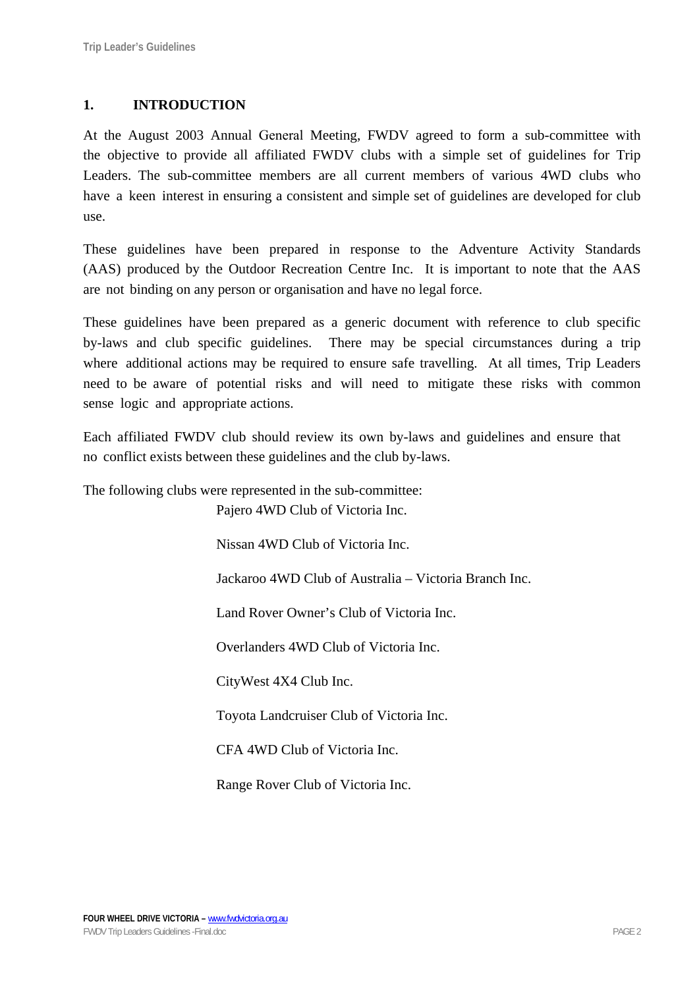# **1. INTRODUCTION**

At the August 2003 Annual General Meeting, FWDV agreed to form a sub-committee with the objective to provide all affiliated FWDV clubs with a simple set of guidelines for Trip Leaders. The sub-committee members are all current members of various 4WD clubs who have a keen interest in ensuring a consistent and simple set of guidelines are developed for club use.

These guidelines have been prepared in response to the Adventure Activity Standards (AAS) produced by the Outdoor Recreation Centre Inc. It is important to note that the AAS are not binding on any person or organisation and have no legal force.

These guidelines have been prepared as a generic document with reference to club specific by-laws and club specific guidelines. There may be special circumstances during a trip where additional actions may be required to ensure safe travelling. At all times, Trip Leaders need to be aware of potential risks and will need to mitigate these risks with common sense logic and appropriate actions.

Each affiliated FWDV club should review its own by-laws and guidelines and ensure that no conflict exists between these guidelines and the club by-laws.

The following clubs were represented in the sub-committee:

Pajero 4WD Club of Victoria Inc.

Nissan 4WD Club of Victoria Inc.

Jackaroo 4WD Club of Australia – Victoria Branch Inc.

Land Rover Owner's Club of Victoria Inc.

Overlanders 4WD Club of Victoria Inc.

CityWest 4X4 Club Inc.

Toyota Landcruiser Club of Victoria Inc.

CFA 4WD Club of Victoria Inc.

Range Rover Club of Victoria Inc.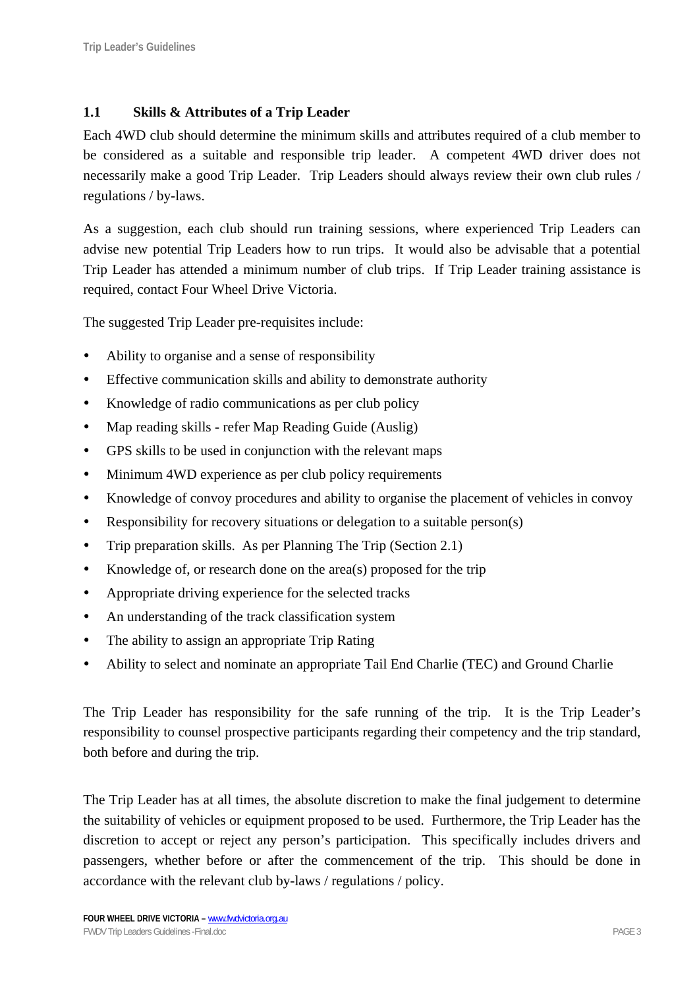## **1.1 Skills & Attributes of a Trip Leader**

Each 4WD club should determine the minimum skills and attributes required of a club member to be considered as a suitable and responsible trip leader. A competent 4WD driver does not necessarily make a good Trip Leader. Trip Leaders should always review their own club rules / regulations / by-laws.

As a suggestion, each club should run training sessions, where experienced Trip Leaders can advise new potential Trip Leaders how to run trips. It would also be advisable that a potential Trip Leader has attended a minimum number of club trips. If Trip Leader training assistance is required, contact Four Wheel Drive Victoria.

The suggested Trip Leader pre-requisites include:

- Ability to organise and a sense of responsibility
- Effective communication skills and ability to demonstrate authority
- Knowledge of radio communications as per club policy
- Map reading skills refer Map Reading Guide (Auslig)
- GPS skills to be used in conjunction with the relevant maps
- Minimum 4WD experience as per club policy requirements
- Knowledge of convoy procedures and ability to organise the placement of vehicles in convoy
- Responsibility for recovery situations or delegation to a suitable person(s)
- Trip preparation skills. As per Planning The Trip (Section 2.1)
- Knowledge of, or research done on the area(s) proposed for the trip
- Appropriate driving experience for the selected tracks
- An understanding of the track classification system
- The ability to assign an appropriate Trip Rating
- Ability to select and nominate an appropriate Tail End Charlie (TEC) and Ground Charlie

The Trip Leader has responsibility for the safe running of the trip. It is the Trip Leader's responsibility to counsel prospective participants regarding their competency and the trip standard, both before and during the trip.

The Trip Leader has at all times, the absolute discretion to make the final judgement to determine the suitability of vehicles or equipment proposed to be used. Furthermore, the Trip Leader has the discretion to accept or reject any person's participation. This specifically includes drivers and passengers, whether before or after the commencement of the trip. This should be done in accordance with the relevant club by-laws / regulations / policy.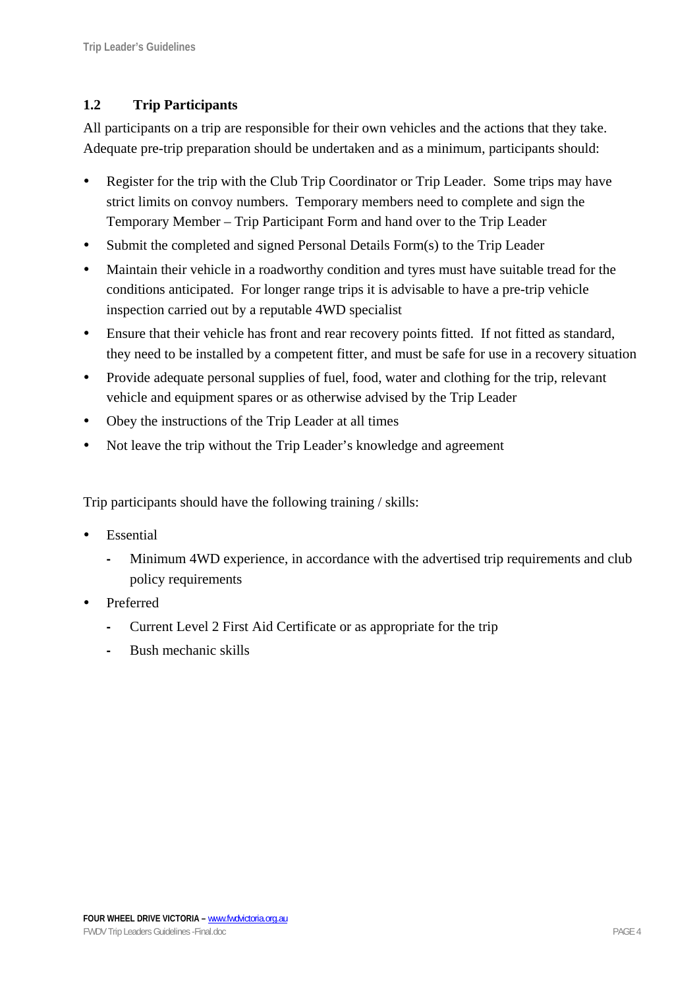# **1.2 Trip Participants**

All participants on a trip are responsible for their own vehicles and the actions that they take. Adequate pre-trip preparation should be undertaken and as a minimum, participants should:

- Register for the trip with the Club Trip Coordinator or Trip Leader. Some trips may have strict limits on convoy numbers. Temporary members need to complete and sign the Temporary Member – Trip Participant Form and hand over to the Trip Leader
- Submit the completed and signed Personal Details Form(s) to the Trip Leader
- Maintain their vehicle in a roadworthy condition and tyres must have suitable tread for the conditions anticipated. For longer range trips it is advisable to have a pre-trip vehicle inspection carried out by a reputable 4WD specialist
- y Ensure that their vehicle has front and rear recovery points fitted. If not fitted as standard, they need to be installed by a competent fitter, and must be safe for use in a recovery situation
- Provide adequate personal supplies of fuel, food, water and clothing for the trip, relevant vehicle and equipment spares or as otherwise advised by the Trip Leader
- Obey the instructions of the Trip Leader at all times
- Not leave the trip without the Trip Leader's knowledge and agreement

Trip participants should have the following training / skills:

- **Essential** 
	- **-** Minimum 4WD experience, in accordance with the advertised trip requirements and club policy requirements
- Preferred
	- **-** Current Level 2 First Aid Certificate or as appropriate for the trip
	- **-** Bush mechanic skills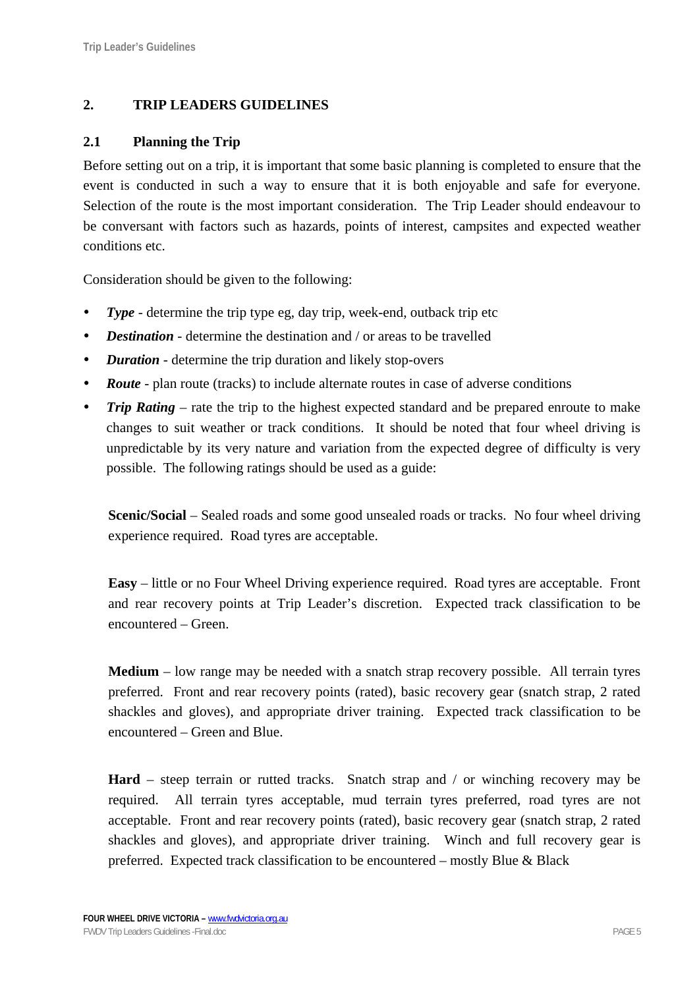# **2. TRIP LEADERS GUIDELINES**

### **2.1 Planning the Trip**

Before setting out on a trip, it is important that some basic planning is completed to ensure that the event is conducted in such a way to ensure that it is both enjoyable and safe for everyone. Selection of the route is the most important consideration. The Trip Leader should endeavour to be conversant with factors such as hazards, points of interest, campsites and expected weather conditions etc.

Consideration should be given to the following:

- **Type** determine the trip type eg, day trip, week-end, outback trip etc
- *Destination* determine the destination and / or areas to be travelled
- *Duration* determine the trip duration and likely stop-overs
- **Route** plan route (tracks) to include alternate routes in case of adverse conditions
- *Trip Rating* rate the trip to the highest expected standard and be prepared enroute to make changes to suit weather or track conditions. It should be noted that four wheel driving is unpredictable by its very nature and variation from the expected degree of difficulty is very possible. The following ratings should be used as a guide:

**Scenic/Social** – Sealed roads and some good unsealed roads or tracks. No four wheel driving experience required. Road tyres are acceptable.

**Easy** – little or no Four Wheel Driving experience required. Road tyres are acceptable. Front and rear recovery points at Trip Leader's discretion. Expected track classification to be encountered – Green.

**Medium** – low range may be needed with a snatch strap recovery possible. All terrain tyres preferred. Front and rear recovery points (rated), basic recovery gear (snatch strap, 2 rated shackles and gloves), and appropriate driver training. Expected track classification to be encountered – Green and Blue.

**Hard** – steep terrain or rutted tracks. Snatch strap and / or winching recovery may be required. All terrain tyres acceptable, mud terrain tyres preferred, road tyres are not acceptable. Front and rear recovery points (rated), basic recovery gear (snatch strap, 2 rated shackles and gloves), and appropriate driver training. Winch and full recovery gear is preferred. Expected track classification to be encountered – mostly Blue & Black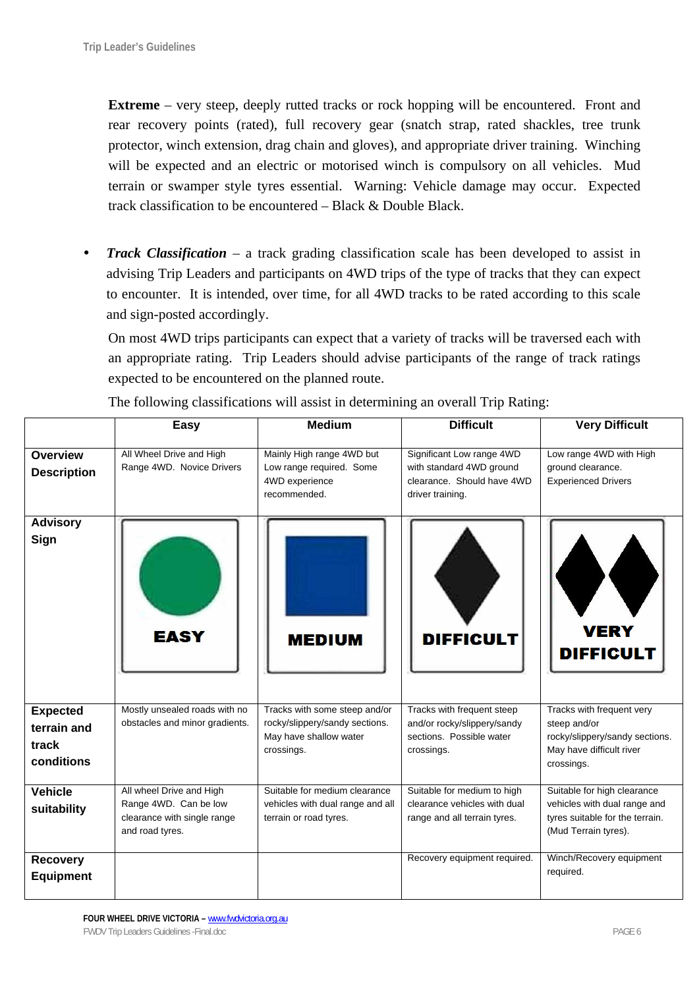**Extreme** – very steep, deeply rutted tracks or rock hopping will be encountered. Front and rear recovery points (rated), full recovery gear (snatch strap, rated shackles, tree trunk protector, winch extension, drag chain and gloves), and appropriate driver training. Winching will be expected and an electric or motorised winch is compulsory on all vehicles. Mud terrain or swamper style tyres essential. Warning: Vehicle damage may occur. Expected track classification to be encountered – Black & Double Black.

• *Track Classification* – a track grading classification scale has been developed to assist in advising Trip Leaders and participants on 4WD trips of the type of tracks that they can expect to encounter. It is intended, over time, for all 4WD tracks to be rated according to this scale and sign-posted accordingly.

On most 4WD trips participants can expect that a variety of tracks will be traversed each with an appropriate rating. Trip Leaders should advise participants of the range of track ratings expected to be encountered on the planned route.

|                    | Easy                           | <b>Medium</b>                        | <b>Difficult</b>                                       | <b>Very Difficult</b>                                      |
|--------------------|--------------------------------|--------------------------------------|--------------------------------------------------------|------------------------------------------------------------|
|                    |                                |                                      |                                                        |                                                            |
| <b>Overview</b>    | All Wheel Drive and High       | Mainly High range 4WD but            | Significant Low range 4WD                              | Low range 4WD with High                                    |
| <b>Description</b> | Range 4WD. Novice Drivers      | Low range required. Some             | with standard 4WD ground<br>clearance. Should have 4WD | ground clearance.                                          |
|                    |                                | 4WD experience<br>recommended.       | driver training.                                       | <b>Experienced Drivers</b>                                 |
|                    |                                |                                      |                                                        |                                                            |
| <b>Advisory</b>    |                                |                                      |                                                        |                                                            |
| Sign               | <b>EASY</b>                    | <b>MEDIUM</b>                        | <b>DIFFICULT</b>                                       | <b>VERY</b><br><b>DIFFICULT</b>                            |
| <b>Expected</b>    | Mostly unsealed roads with no  | Tracks with some steep and/or        | Tracks with frequent steep                             | Tracks with frequent very                                  |
| terrain and        | obstacles and minor gradients. | rocky/slippery/sandy sections.       | and/or rocky/slippery/sandy                            | steep and/or                                               |
| track              |                                | May have shallow water<br>crossings. | sections. Possible water                               | rocky/slippery/sandy sections.<br>May have difficult river |
| conditions         |                                |                                      | crossings.                                             | crossings.                                                 |
|                    |                                |                                      |                                                        |                                                            |
| <b>Vehicle</b>     | All wheel Drive and High       | Suitable for medium clearance        | Suitable for medium to high                            | Suitable for high clearance                                |
| suitability        | Range 4WD. Can be low          | vehicles with dual range and all     | clearance vehicles with dual                           | vehicles with dual range and                               |
|                    | clearance with single range    | terrain or road tyres.               | range and all terrain tyres.                           | tyres suitable for the terrain.                            |
|                    | and road tyres.                |                                      |                                                        | (Mud Terrain tyres).                                       |
| <b>Recovery</b>    |                                |                                      | Recovery equipment required.                           | Winch/Recovery equipment                                   |
| <b>Equipment</b>   |                                |                                      |                                                        | required.                                                  |
|                    |                                |                                      |                                                        |                                                            |

The following classifications will assist in determining an overall Trip Rating: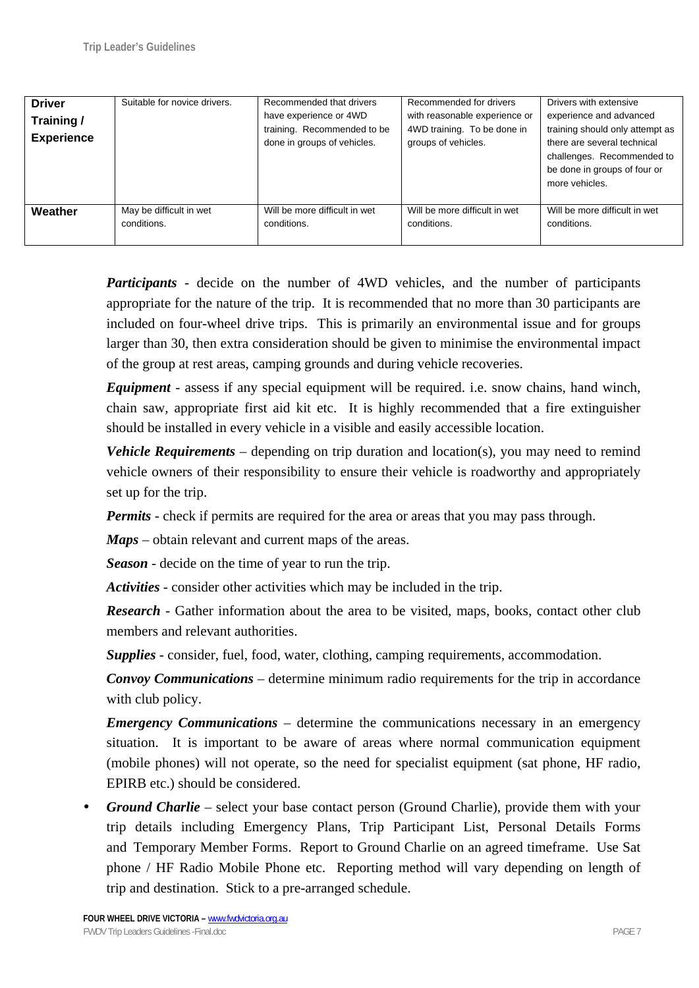| <b>Driver</b><br>Training/<br><b>Experience</b> | Suitable for novice drivers. | Recommended that drivers<br>have experience or 4WD<br>training. Recommended to be<br>done in groups of vehicles. | Recommended for drivers<br>with reasonable experience or<br>4WD training. To be done in<br>groups of vehicles. | Drivers with extensive<br>experience and advanced<br>training should only attempt as<br>there are several technical<br>challenges. Recommended to<br>be done in groups of four or<br>more vehicles. |
|-------------------------------------------------|------------------------------|------------------------------------------------------------------------------------------------------------------|----------------------------------------------------------------------------------------------------------------|-----------------------------------------------------------------------------------------------------------------------------------------------------------------------------------------------------|
| Weather                                         | May be difficult in wet      | Will be more difficult in wet                                                                                    | Will be more difficult in wet                                                                                  | Will be more difficult in wet                                                                                                                                                                       |
|                                                 | conditions.                  | conditions.                                                                                                      | conditions.                                                                                                    | conditions.                                                                                                                                                                                         |

*Participants* - decide on the number of 4WD vehicles, and the number of participants appropriate for the nature of the trip. It is recommended that no more than 30 participants are included on four-wheel drive trips. This is primarily an environmental issue and for groups larger than 30, then extra consideration should be given to minimise the environmental impact of the group at rest areas, camping grounds and during vehicle recoveries.

*Equipment* - assess if any special equipment will be required. i.e. snow chains, hand winch, chain saw, appropriate first aid kit etc. It is highly recommended that a fire extinguisher should be installed in every vehicle in a visible and easily accessible location.

*Vehicle Requirements* – depending on trip duration and location(s), you may need to remind vehicle owners of their responsibility to ensure their vehicle is roadworthy and appropriately set up for the trip.

*Permits* - check if permits are required for the area or areas that you may pass through.

*Maps* – obtain relevant and current maps of the areas.

*Season* - decide on the time of year to run the trip.

*Activities* - consider other activities which may be included in the trip.

*Research* - Gather information about the area to be visited, maps, books, contact other club members and relevant authorities.

*Supplies* - consider, fuel, food, water, clothing, camping requirements, accommodation.

*Convoy Communications* – determine minimum radio requirements for the trip in accordance with club policy.

*Emergency Communications* – determine the communications necessary in an emergency situation. It is important to be aware of areas where normal communication equipment (mobile phones) will not operate, so the need for specialist equipment (sat phone, HF radio, EPIRB etc.) should be considered.

*Ground Charlie* – select your base contact person (Ground Charlie), provide them with your trip details including Emergency Plans, Trip Participant List, Personal Details Forms and Temporary Member Forms. Report to Ground Charlie on an agreed timeframe. Use Sat phone / HF Radio Mobile Phone etc. Reporting method will vary depending on length of trip and destination. Stick to a pre-arranged schedule.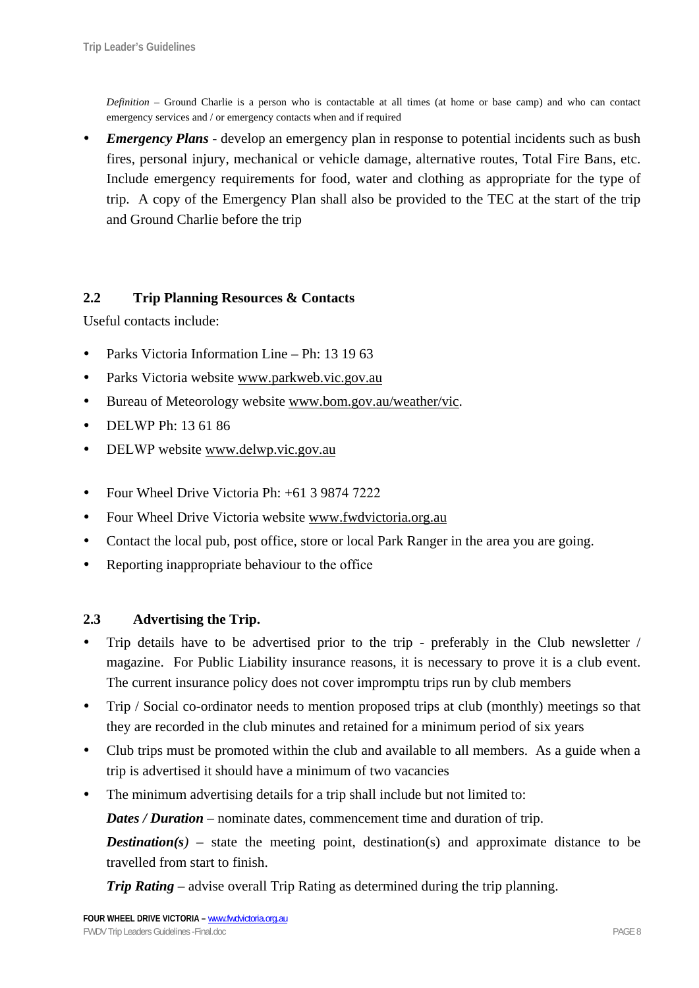*Definition* – Ground Charlie is a person who is contactable at all times (at home or base camp) and who can contact emergency services and / or emergency contacts when and if required

*Emergency Plans* - develop an emergency plan in response to potential incidents such as bush fires, personal injury, mechanical or vehicle damage, alternative routes, Total Fire Bans, etc. Include emergency requirements for food, water and clothing as appropriate for the type of trip. A copy of the Emergency Plan shall also be provided to the TEC at the start of the trip and Ground Charlie before the trip

## **2.2 Trip Planning Resources & Contacts**

Useful contacts include:

- Parks Victoria Information Line Ph: 13 19 63
- Parks Victoria website www.parkweb.vic.gov.au
- Bureau of Meteorology website www.bom.gov.au/weather/vic.
- DELWP Ph: 13 61 86
- DELWP website www.delwp.vic.gov.au
- Four Wheel Drive Victoria Ph: +61 3 9874 7222
- Four Wheel Drive Victoria website www.fwdvictoria.org.au
- Contact the local pub, post office, store or local Park Ranger in the area you are going.
- Reporting inappropriate behaviour to the office

### **2.3 Advertising the Trip.**

- Trip details have to be advertised prior to the trip preferably in the Club newsletter / magazine. For Public Liability insurance reasons, it is necessary to prove it is a club event. The current insurance policy does not cover impromptu trips run by club members
- Trip / Social co-ordinator needs to mention proposed trips at club (monthly) meetings so that they are recorded in the club minutes and retained for a minimum period of six years
- Club trips must be promoted within the club and available to all members. As a guide when a trip is advertised it should have a minimum of two vacancies
- The minimum advertising details for a trip shall include but not limited to:

*Dates / Duration* – nominate dates, commencement time and duration of trip.

*Destination(s)* – state the meeting point, destination(s) and approximate distance to be travelled from start to finish.

*Trip Rating* – advise overall Trip Rating as determined during the trip planning.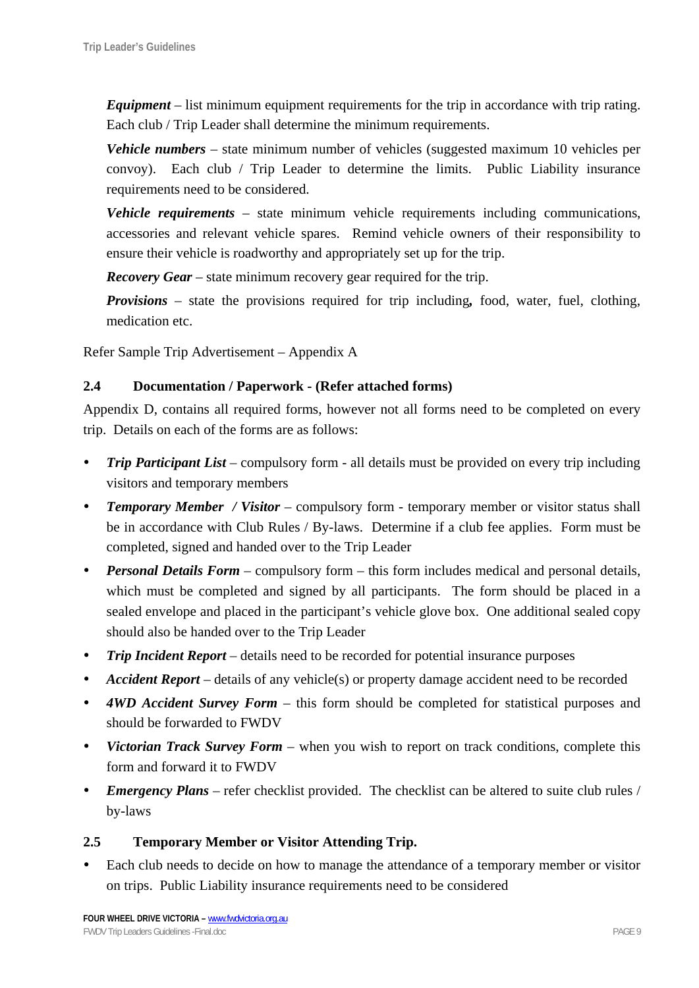*Equipment* – list minimum equipment requirements for the trip in accordance with trip rating. Each club / Trip Leader shall determine the minimum requirements.

*Vehicle numbers* – state minimum number of vehicles (suggested maximum 10 vehicles per convoy). Each club / Trip Leader to determine the limits. Public Liability insurance requirements need to be considered.

*Vehicle requirements* – state minimum vehicle requirements including communications, accessories and relevant vehicle spares. Remind vehicle owners of their responsibility to ensure their vehicle is roadworthy and appropriately set up for the trip.

*Recovery Gear* – state minimum recovery gear required for the trip.

*Provisions* – state the provisions required for trip including*,* food, water, fuel, clothing, medication etc.

Refer Sample Trip Advertisement – Appendix A

### **2.4 Documentation / Paperwork - (Refer attached forms)**

Appendix D, contains all required forms, however not all forms need to be completed on every trip. Details on each of the forms are as follows:

- **Trip Participant List** compulsory form all details must be provided on every trip including visitors and temporary members
- *Temporary Member / Visitor* compulsory form temporary member or visitor status shall be in accordance with Club Rules / By-laws. Determine if a club fee applies. Form must be completed, signed and handed over to the Trip Leader
- *Personal Details Form* compulsory form this form includes medical and personal details, which must be completed and signed by all participants. The form should be placed in a sealed envelope and placed in the participant's vehicle glove box. One additional sealed copy should also be handed over to the Trip Leader
- *Trip Incident Report* details need to be recorded for potential insurance purposes
- *Accident Report* details of any vehicle(s) or property damage accident need to be recorded
- *4WD Accident Survey Form* this form should be completed for statistical purposes and should be forwarded to FWDV
- *Victorian Track Survey Form* when you wish to report on track conditions, complete this form and forward it to FWDV
- *Emergency Plans* refer checklist provided. The checklist can be altered to suite club rules / by-laws

### **2.5 Temporary Member or Visitor Attending Trip.**

Each club needs to decide on how to manage the attendance of a temporary member or visitor on trips. Public Liability insurance requirements need to be considered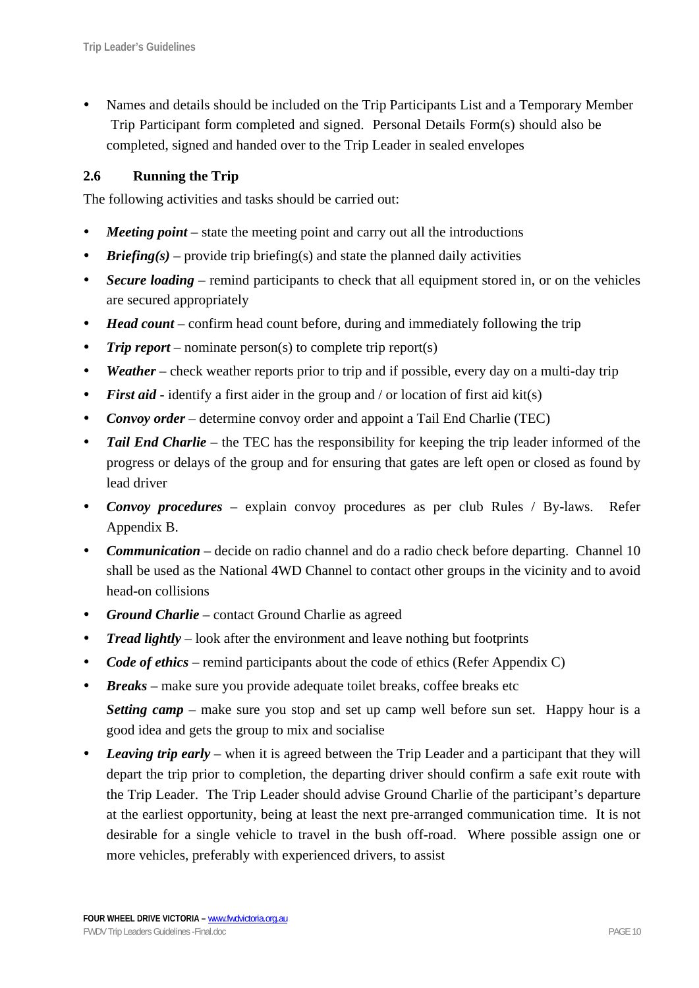Names and details should be included on the Trip Participants List and a Temporary Member Trip Participant form completed and signed. Personal Details Form(s) should also be completed, signed and handed over to the Trip Leader in sealed envelopes

# **2.6 Running the Trip**

The following activities and tasks should be carried out:

- *Meeting point* state the meeting point and carry out all the introductions
- *Briefing(s)* provide trip briefing(s) and state the planned daily activities
- *Secure loading* remind participants to check that all equipment stored in, or on the vehicles are secured appropriately
- *Head count* confirm head count before, during and immediately following the trip
- *Trip report* nominate person(s) to complete trip report(s)
- *Weather* check weather reports prior to trip and if possible, every day on a multi-day trip
- *First aid* identify a first aider in the group and / or location of first aid kit(s)
- *Convoy order* determine convoy order and appoint a Tail End Charlie (TEC)
- *Tail End Charlie* the TEC has the responsibility for keeping the trip leader informed of the progress or delays of the group and for ensuring that gates are left open or closed as found by lead driver
- *Convoy procedures* explain convoy procedures as per club Rules / By-laws. Refer Appendix B.
- *Communication* decide on radio channel and do a radio check before departing. Channel 10 shall be used as the National 4WD Channel to contact other groups in the vicinity and to avoid head-on collisions
- *Ground Charlie –* contact Ground Charlie as agreed
- *Tread lightly* look after the environment and leave nothing but footprints
- *Code of ethics* remind participants about the code of ethics (Refer Appendix C)
- *Breaks* make sure you provide adequate toilet breaks, coffee breaks etc *Setting camp* – make sure you stop and set up camp well before sun set. Happy hour is a good idea and gets the group to mix and socialise
- Leaving trip early when it is agreed between the Trip Leader and a participant that they will depart the trip prior to completion, the departing driver should confirm a safe exit route with the Trip Leader. The Trip Leader should advise Ground Charlie of the participant's departure at the earliest opportunity, being at least the next pre-arranged communication time. It is not desirable for a single vehicle to travel in the bush off-road. Where possible assign one or more vehicles, preferably with experienced drivers, to assist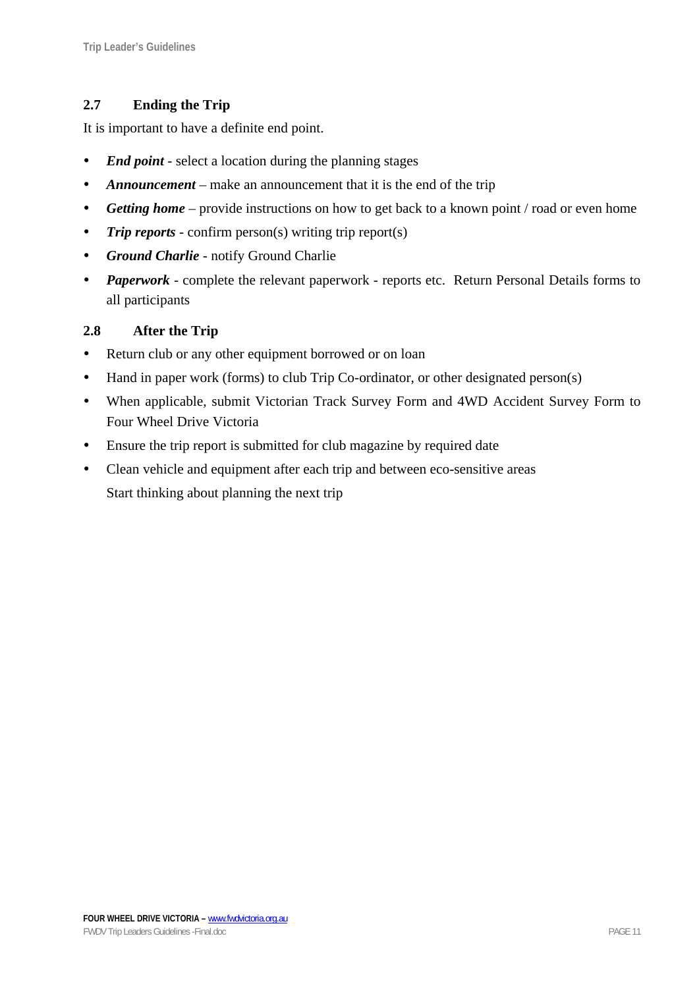# **2.7 Ending the Trip**

It is important to have a definite end point.

- *End point* select a location during the planning stages
- *Announcement* make an announcement that it is the end of the trip
- *Getting home* provide instructions on how to get back to a known point / road or even home
- *Trip reports* confirm person(s) writing trip report(s)
- **•** *Ground Charlie* notify Ground Charlie
- *Paperwork* complete the relevant paperwork reports etc. Return Personal Details forms to all participants

## **2.8 After the Trip**

- Return club or any other equipment borrowed or on loan
- Hand in paper work (forms) to club Trip Co-ordinator, or other designated person(s)
- When applicable, submit Victorian Track Survey Form and 4WD Accident Survey Form to Four Wheel Drive Victoria
- Ensure the trip report is submitted for club magazine by required date
- Clean vehicle and equipment after each trip and between eco-sensitive areas Start thinking about planning the next trip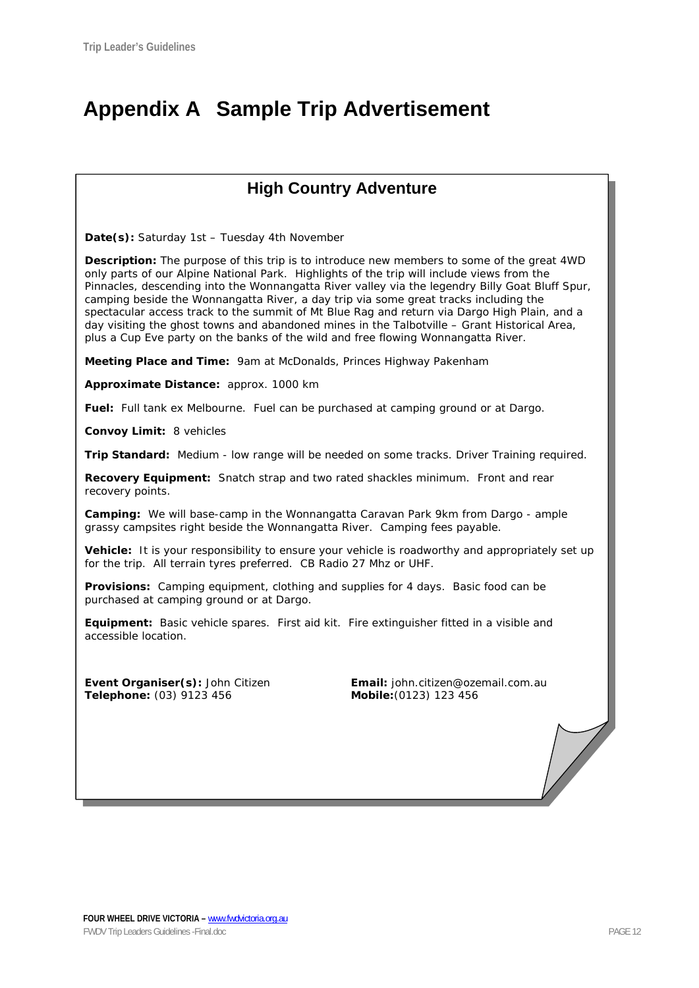# **Appendix A Sample Trip Advertisement**

# **High Country Adventure**

**Date(s):** Saturday 1st – Tuesday 4th November

**Description:** The purpose of this trip is to introduce new members to some of the great 4WD only parts of our Alpine National Park. Highlights of the trip will include views from the Pinnacles, descending into the Wonnangatta River valley via the legendry Billy Goat Bluff Spur, camping beside the Wonnangatta River, a day trip via some great tracks including the spectacular access track to the summit of Mt Blue Rag and return via Dargo High Plain, and a day visiting the ghost towns and abandoned mines in the Talbotville – Grant Historical Area, plus a Cup Eve party on the banks of the wild and free flowing Wonnangatta River.

**Meeting Place and Time:** 9am at McDonalds, Princes Highway Pakenham

**Approximate Distance:** approx. 1000 km

**Fuel:** Full tank ex Melbourne. Fuel can be purchased at camping ground or at Dargo.

**Convoy Limit:** 8 vehicles

**Trip Standard:** Medium - low range will be needed on some tracks. Driver Training required.

**Recovery Equipment:** Snatch strap and two rated shackles minimum. Front and rear recovery points.

**Camping:** We will base-camp in the Wonnangatta Caravan Park 9km from Dargo - ample grassy campsites right beside the Wonnangatta River. Camping fees payable.

**Vehicle:** It is your responsibility to ensure your vehicle is roadworthy and appropriately set up for the trip. All terrain tyres preferred. CB Radio 27 Mhz or UHF.

**Provisions:** Camping equipment, clothing and supplies for 4 days. Basic food can be purchased at camping ground or at Dargo.

**Equipment:** Basic vehicle spares. First aid kit. Fire extinguisher fitted in a visible and accessible location.

**Telephone:** (03) 9123 456 **Mobile:**(0123) 123 456

**Event Organiser(s):** John Citizen **Email:** john.citizen@ozemail.com.au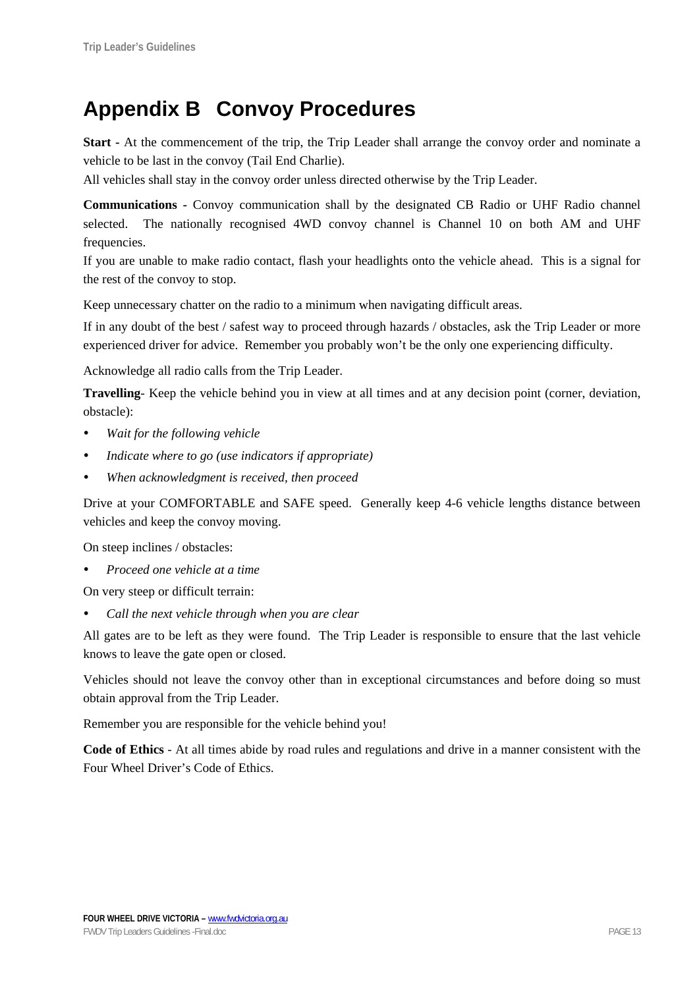# **Appendix B Convoy Procedures**

**Start -** At the commencement of the trip, the Trip Leader shall arrange the convoy order and nominate a vehicle to be last in the convoy (Tail End Charlie).

All vehicles shall stay in the convoy order unless directed otherwise by the Trip Leader.

**Communications -** Convoy communication shall by the designated CB Radio or UHF Radio channel selected. The nationally recognised 4WD convoy channel is Channel 10 on both AM and UHF frequencies.

If you are unable to make radio contact, flash your headlights onto the vehicle ahead. This is a signal for the rest of the convoy to stop.

Keep unnecessary chatter on the radio to a minimum when navigating difficult areas.

If in any doubt of the best / safest way to proceed through hazards / obstacles, ask the Trip Leader or more experienced driver for advice. Remember you probably won't be the only one experiencing difficulty.

Acknowledge all radio calls from the Trip Leader.

**Travelling**- Keep the vehicle behind you in view at all times and at any decision point (corner, deviation, obstacle):

- *Wait for the following vehicle*
- *Indicate where to go (use indicators if appropriate)*
- When acknowledgment is received, then proceed

Drive at your COMFORTABLE and SAFE speed. Generally keep 4-6 vehicle lengths distance between vehicles and keep the convoy moving.

On steep inclines / obstacles:

y *Proceed one vehicle at a time* 

On very steep or difficult terrain:

Call the next vehicle through when you are clear

All gates are to be left as they were found. The Trip Leader is responsible to ensure that the last vehicle knows to leave the gate open or closed.

Vehicles should not leave the convoy other than in exceptional circumstances and before doing so must obtain approval from the Trip Leader.

Remember you are responsible for the vehicle behind you!

**Code of Ethics** - At all times abide by road rules and regulations and drive in a manner consistent with the Four Wheel Driver's Code of Ethics.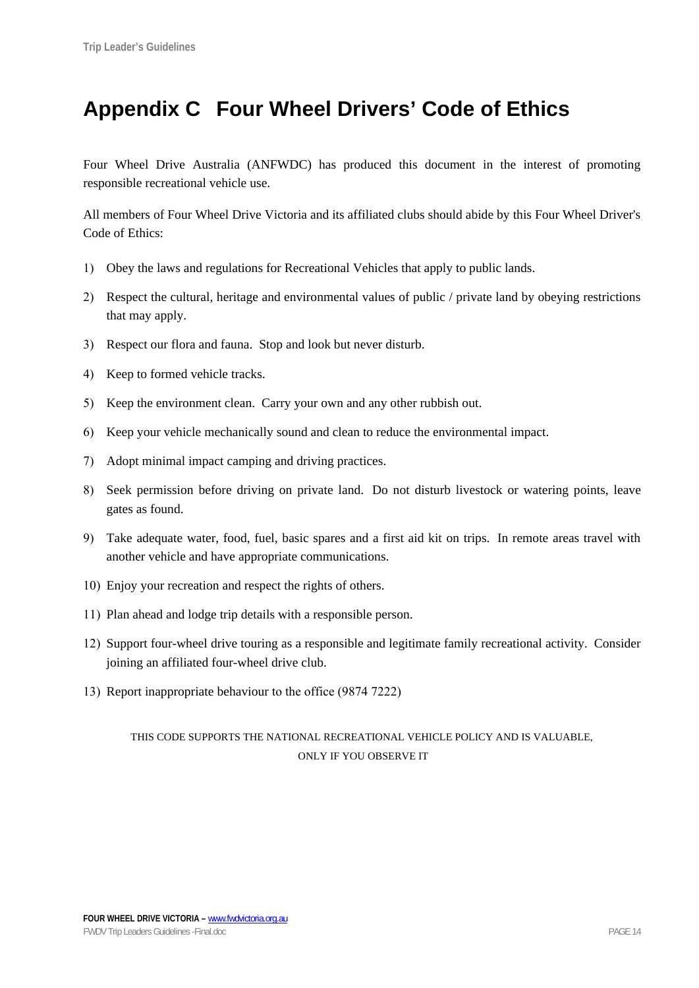# **Appendix C Four Wheel Drivers' Code of Ethics**

Four Wheel Drive Australia (ANFWDC) has produced this document in the interest of promoting responsible recreational vehicle use.

All members of Four Wheel Drive Victoria and its affiliated clubs should abide by this Four Wheel Driver's Code of Ethics:

- 1) Obey the laws and regulations for Recreational Vehicles that apply to public lands.
- 2) Respect the cultural, heritage and environmental values of public / private land by obeying restrictions that may apply.
- 3) Respect our flora and fauna. Stop and look but never disturb.
- 4) Keep to formed vehicle tracks.
- 5) Keep the environment clean. Carry your own and any other rubbish out.
- 6) Keep your vehicle mechanically sound and clean to reduce the environmental impact.
- 7) Adopt minimal impact camping and driving practices.
- 8) Seek permission before driving on private land. Do not disturb livestock or watering points, leave gates as found.
- 9) Take adequate water, food, fuel, basic spares and a first aid kit on trips. In remote areas travel with another vehicle and have appropriate communications.
- 10) Enjoy your recreation and respect the rights of others.
- 11) Plan ahead and lodge trip details with a responsible person.
- 12) Support four-wheel drive touring as a responsible and legitimate family recreational activity. Consider joining an affiliated four-wheel drive club.
- 13) Report inappropriate behaviour to the office (9874 7222)

### THIS CODE SUPPORTS THE NATIONAL RECREATIONAL VEHICLE POLICY AND IS VALUABLE, ONLY IF YOU OBSERVE IT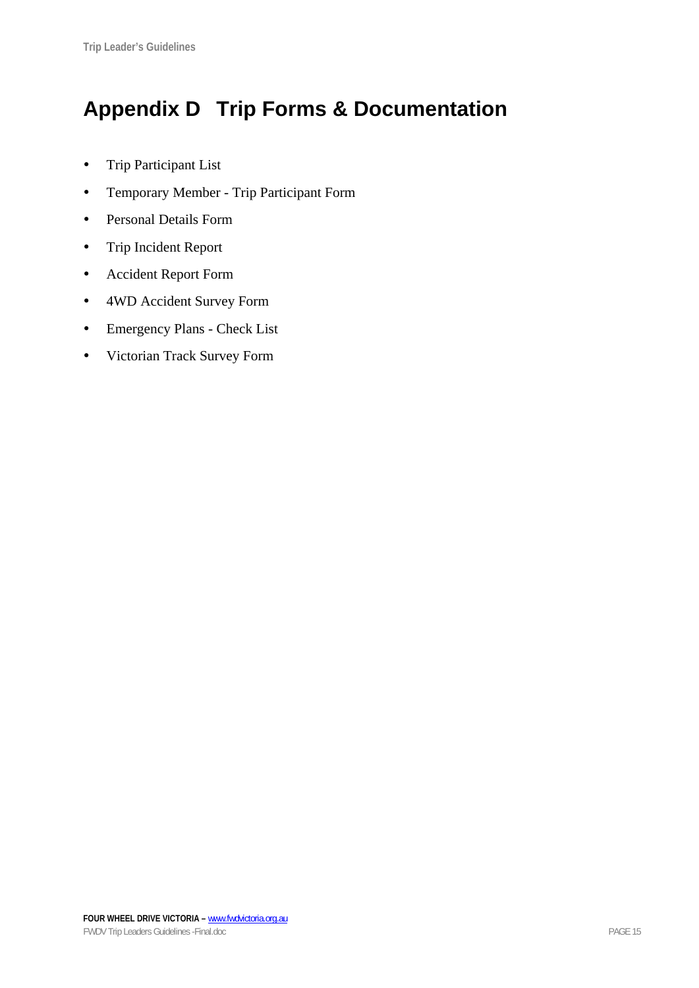# **Appendix D Trip Forms & Documentation**

- Trip Participant List
- Temporary Member Trip Participant Form
- Personal Details Form
- Trip Incident Report
- Accident Report Form
- 4WD Accident Survey Form
- Emergency Plans Check List
- Victorian Track Survey Form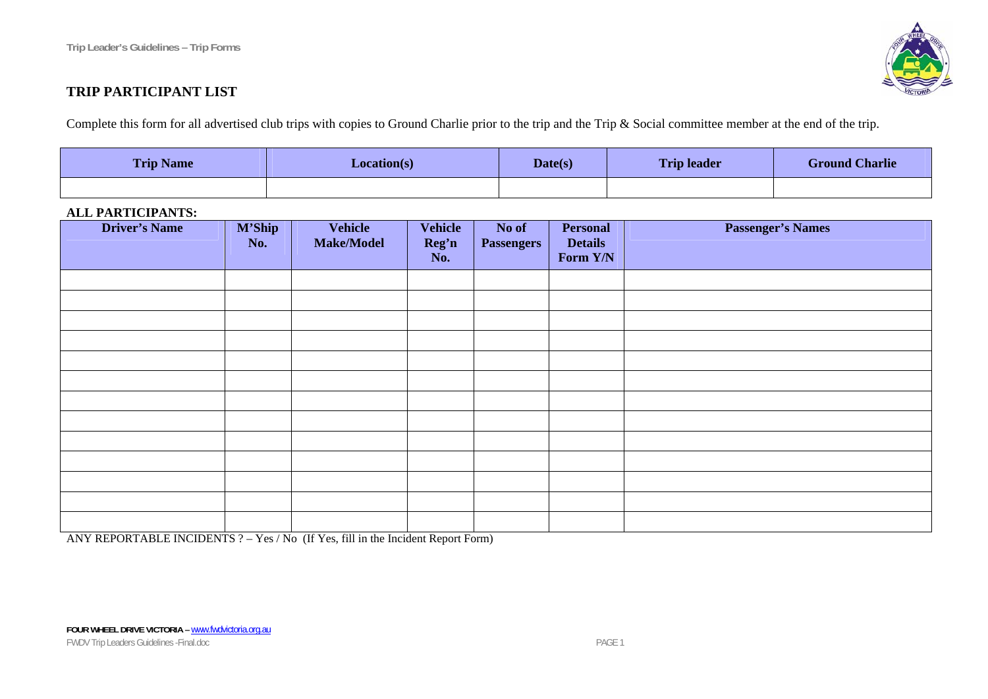

## **TRIP PARTICIPANT LIST**

Complete this form for all advertised club trips with copies to Ground Charlie prior to the trip and the Trip & Social committee member at the end of the trip.

| <b>Trip Name</b> | <b>Location(s)</b> | Date(s) | <b>Trip leader</b> | <b>Ground Charlie</b> |
|------------------|--------------------|---------|--------------------|-----------------------|
|                  |                    |         |                    |                       |

#### **ALL PARTICIPANTS:**

| <b>Driver's Name</b> | <b>M'Ship</b><br>No. | Vehicle<br>Make/Model | <b>Vehicle</b><br>Reg'n<br>No. | No of<br><b>Passengers</b> | <b>Personal</b><br><b>Details</b><br>Form Y/N | <b>Passenger's Names</b> |
|----------------------|----------------------|-----------------------|--------------------------------|----------------------------|-----------------------------------------------|--------------------------|
|                      |                      |                       |                                |                            |                                               |                          |
|                      |                      |                       |                                |                            |                                               |                          |
|                      |                      |                       |                                |                            |                                               |                          |
|                      |                      |                       |                                |                            |                                               |                          |
|                      |                      |                       |                                |                            |                                               |                          |
|                      |                      |                       |                                |                            |                                               |                          |
|                      |                      |                       |                                |                            |                                               |                          |
|                      |                      |                       |                                |                            |                                               |                          |
|                      |                      |                       |                                |                            |                                               |                          |
|                      |                      |                       |                                |                            |                                               |                          |
|                      |                      |                       |                                |                            |                                               |                          |
|                      |                      |                       |                                |                            |                                               |                          |
|                      |                      |                       |                                |                            |                                               |                          |

ANY REPORTABLE INCIDENTS ? – Yes / No (If Yes, fill in the Incident Report Form)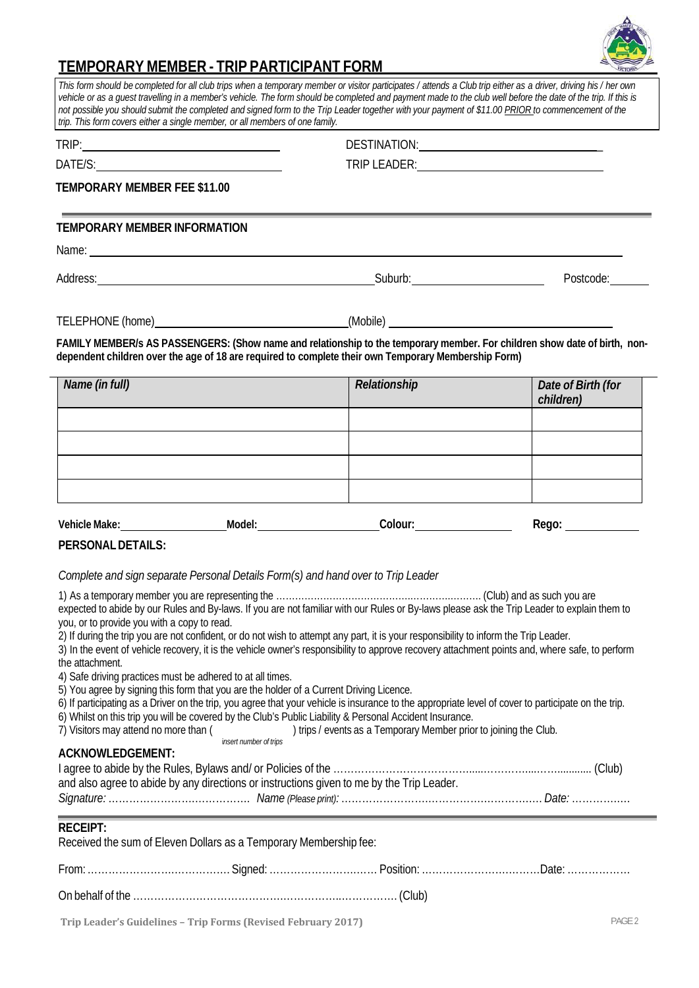

# **TEMPORARY MEMBER - TRIP PARTICIPANT FORM**

*This form should be completed for all club trips when a temporary member or visitor participates / attends a Club trip either as a driver, driving his / her own vehicle or as a guest travelling in a member's vehicle. The form should be completed and payment made to the club well before the date of the trip. If this is not possible you should submit the completed and signed form to the Trip Leader together with your payment of \$11.00 PRIOR to commencement of the trip. This form covers either a single member, or all members of one family.*

|                                                                                                                                                                                                                                  | DESTINATION: NAME OF STRAINING CONTROL OF STRAINING CONTROL OF STRAINING CONTROL OF STRAINING CONTROL OF STRAINING CONTROL OF STRAINING CONTROL OF STRAINING CONTROL OF STRAINING CONTROL OF STRAINING CONTROL OF STRAINING CO |                                 |  |  |
|----------------------------------------------------------------------------------------------------------------------------------------------------------------------------------------------------------------------------------|--------------------------------------------------------------------------------------------------------------------------------------------------------------------------------------------------------------------------------|---------------------------------|--|--|
|                                                                                                                                                                                                                                  | TRIP LEADER: VALUE AND TRIP LEADER:                                                                                                                                                                                            |                                 |  |  |
| TEMPORARY MEMBER FEE \$11.00                                                                                                                                                                                                     |                                                                                                                                                                                                                                |                                 |  |  |
| TEMPORARY MEMBER INFORMATION                                                                                                                                                                                                     |                                                                                                                                                                                                                                |                                 |  |  |
| Name: Name: Name: Name: Name: Name: Name: Name: Name: Name: Name: Name: Name: Name: Name: Name: Name: Name: Name: Name: Name: Name: Name: Name: Name: Name: Name: Name: Name: Name: Name: Name: Name: Name: Name: Name: Name:    |                                                                                                                                                                                                                                |                                 |  |  |
| Address: Suburb: Suburb: Suburb: Suburb: Suburb: Suburb: Suburb: Suburb: Suburb: Suburb: Suburb: Suburb: Suburb                                                                                                                  |                                                                                                                                                                                                                                | Postcode:                       |  |  |
|                                                                                                                                                                                                                                  |                                                                                                                                                                                                                                |                                 |  |  |
| FAMILY MEMBER/s AS PASSENGERS: (Show name and relationship to the temporary member. For children show date of birth, non-<br>dependent children over the age of 18 are required to complete their own Temporary Membership Form) |                                                                                                                                                                                                                                |                                 |  |  |
| Name (in full)                                                                                                                                                                                                                   | Relationship                                                                                                                                                                                                                   | Date of Birth (for<br>children) |  |  |
|                                                                                                                                                                                                                                  |                                                                                                                                                                                                                                |                                 |  |  |
|                                                                                                                                                                                                                                  |                                                                                                                                                                                                                                |                                 |  |  |
|                                                                                                                                                                                                                                  |                                                                                                                                                                                                                                |                                 |  |  |
|                                                                                                                                                                                                                                  |                                                                                                                                                                                                                                |                                 |  |  |

| Vehic<br>Make: | Model: | oloui. | . |  |
|----------------|--------|--------|---|--|
|                |        |        |   |  |

**PERSONAL DETAILS:**

*Complete and sign separate Personal Details Form(s) and hand over to Trip Leader*

| expected to abide by our Rules and By-laws. If you are not familiar with our Rules or By-laws please ask the Trip Leader to explain them to |                                                                                                                                                 |                                                                                                          |                                                                                                                                                     |  |  |  |  |  |  |
|---------------------------------------------------------------------------------------------------------------------------------------------|-------------------------------------------------------------------------------------------------------------------------------------------------|----------------------------------------------------------------------------------------------------------|-----------------------------------------------------------------------------------------------------------------------------------------------------|--|--|--|--|--|--|
| you, or to provide you with a copy to read.                                                                                                 |                                                                                                                                                 |                                                                                                          |                                                                                                                                                     |  |  |  |  |  |  |
|                                                                                                                                             | 2) If during the trip you are not confident, or do not wish to attempt any part, it is your responsibility to inform the Trip Leader.           |                                                                                                          |                                                                                                                                                     |  |  |  |  |  |  |
|                                                                                                                                             | 3) In the event of vehicle recovery, it is the vehicle owner's responsibility to approve recovery attachment points and, where safe, to perform |                                                                                                          |                                                                                                                                                     |  |  |  |  |  |  |
| the attachment.                                                                                                                             |                                                                                                                                                 |                                                                                                          |                                                                                                                                                     |  |  |  |  |  |  |
| 4) Safe driving practices must be adhered to at all times.                                                                                  |                                                                                                                                                 |                                                                                                          |                                                                                                                                                     |  |  |  |  |  |  |
| 5) You agree by signing this form that you are the holder of a Current Driving Licence.                                                     |                                                                                                                                                 |                                                                                                          |                                                                                                                                                     |  |  |  |  |  |  |
|                                                                                                                                             |                                                                                                                                                 |                                                                                                          | 6) If participating as a Driver on the trip, you agree that your vehicle is insurance to the appropriate level of cover to participate on the trip. |  |  |  |  |  |  |
|                                                                                                                                             |                                                                                                                                                 | 6) Whilst on this trip you will be covered by the Club's Public Liability & Personal Accident Insurance. |                                                                                                                                                     |  |  |  |  |  |  |
|                                                                                                                                             |                                                                                                                                                 | 7) Visitors may attend no more than ( ) trips / events as a Temporary Member prior to joining the Club.  |                                                                                                                                                     |  |  |  |  |  |  |
|                                                                                                                                             | insert number of trips                                                                                                                          |                                                                                                          |                                                                                                                                                     |  |  |  |  |  |  |
| <b>ACKNOWLEDGEMENT:</b>                                                                                                                     |                                                                                                                                                 |                                                                                                          |                                                                                                                                                     |  |  |  |  |  |  |
|                                                                                                                                             |                                                                                                                                                 |                                                                                                          |                                                                                                                                                     |  |  |  |  |  |  |
|                                                                                                                                             |                                                                                                                                                 | and also agree to abide by any directions or instructions given to me by the Trip Leader.                |                                                                                                                                                     |  |  |  |  |  |  |
|                                                                                                                                             |                                                                                                                                                 |                                                                                                          |                                                                                                                                                     |  |  |  |  |  |  |
|                                                                                                                                             |                                                                                                                                                 |                                                                                                          |                                                                                                                                                     |  |  |  |  |  |  |
|                                                                                                                                             |                                                                                                                                                 |                                                                                                          |                                                                                                                                                     |  |  |  |  |  |  |
| <b>RECEIPT:</b>                                                                                                                             |                                                                                                                                                 |                                                                                                          |                                                                                                                                                     |  |  |  |  |  |  |
| Received the sum of Eleven Dollars as a Temporary Membership fee:                                                                           |                                                                                                                                                 |                                                                                                          |                                                                                                                                                     |  |  |  |  |  |  |
|                                                                                                                                             |                                                                                                                                                 |                                                                                                          |                                                                                                                                                     |  |  |  |  |  |  |
|                                                                                                                                             |                                                                                                                                                 |                                                                                                          |                                                                                                                                                     |  |  |  |  |  |  |
|                                                                                                                                             |                                                                                                                                                 |                                                                                                          |                                                                                                                                                     |  |  |  |  |  |  |
|                                                                                                                                             |                                                                                                                                                 |                                                                                                          |                                                                                                                                                     |  |  |  |  |  |  |
|                                                                                                                                             | $\mathbf{r}$ , and $\mathbf{r}$ and $\mathbf{r}$ and $\mathbf{r}$ and $\mathbf{r}$ and $\mathbf{r}$ and $\mathbf{r}$ and $\mathbf{r}$           |                                                                                                          | DAOF 0                                                                                                                                              |  |  |  |  |  |  |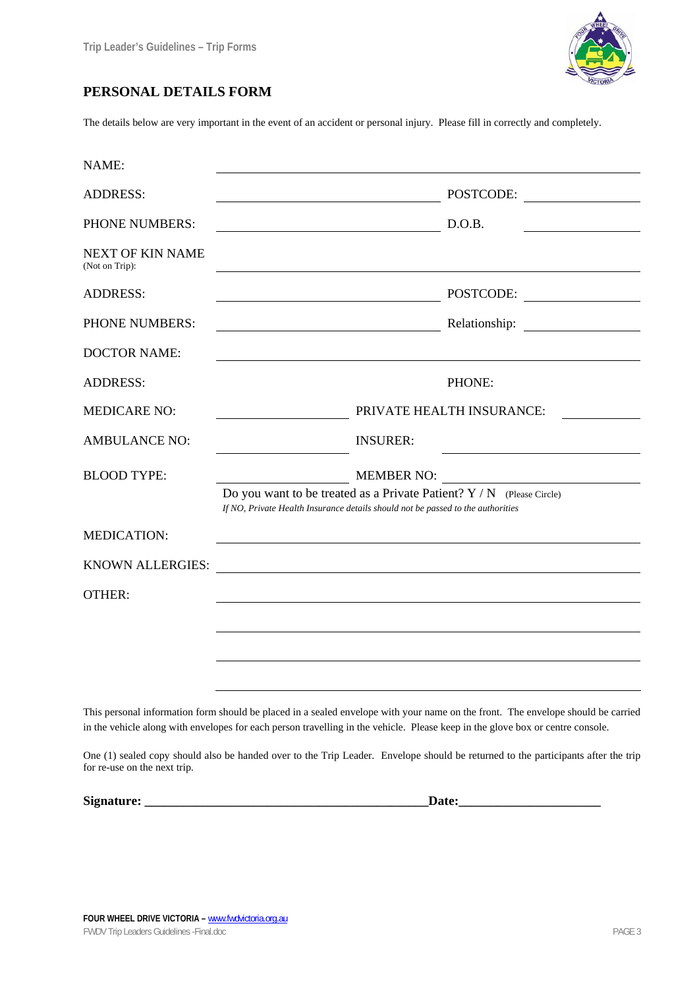

### **PERSONAL DETAILS FORM**

The details below are very important in the event of an accident or personal injury. Please fill in correctly and completely.

| NAME:                                     |                                                                                                                                                            |                           |
|-------------------------------------------|------------------------------------------------------------------------------------------------------------------------------------------------------------|---------------------------|
| <b>ADDRESS:</b>                           | <u> 1989 - Johann Barn, amerikansk politiker (</u>                                                                                                         | POSTCODE:                 |
| PHONE NUMBERS:                            |                                                                                                                                                            | D.O.B.                    |
| <b>NEXT OF KIN NAME</b><br>(Not on Trip): |                                                                                                                                                            |                           |
| <b>ADDRESS:</b>                           | <u> 1989 - Johann Barn, mars ar breithinn ar breithinn ar breithinn ar breithinn ar breithinn ar breithinn ar br</u>                                       | POSTCODE:                 |
| PHONE NUMBERS:                            |                                                                                                                                                            |                           |
| <b>DOCTOR NAME:</b>                       |                                                                                                                                                            |                           |
| <b>ADDRESS:</b>                           |                                                                                                                                                            | PHONE:                    |
| <b>MEDICARE NO:</b>                       |                                                                                                                                                            | PRIVATE HEALTH INSURANCE: |
| <b>AMBULANCE NO:</b>                      | <b>INSURER:</b>                                                                                                                                            |                           |
| <b>BLOOD TYPE:</b>                        | <b>MEMBER NO:</b>                                                                                                                                          |                           |
|                                           | Do you want to be treated as a Private Patient? $Y / N$ (Please Circle)<br>If NO, Private Health Insurance details should not be passed to the authorities |                           |
| <b>MEDICATION:</b>                        |                                                                                                                                                            |                           |
| <b>KNOWN ALLERGIES:</b>                   | <u> Alexandria de la contrada de la contrada de la contrada de la contrada de la contrada de la contrada de la c</u>                                       |                           |
| <b>OTHER:</b>                             |                                                                                                                                                            |                           |
|                                           |                                                                                                                                                            |                           |
|                                           |                                                                                                                                                            |                           |
|                                           |                                                                                                                                                            |                           |

This personal information form should be placed in a sealed envelope with your name on the front. The envelope should be carried in the vehicle along with envelopes for each person travelling in the vehicle. Please keep in the glove box or centre console.

One (1) sealed copy should also be handed over to the Trip Leader. Envelope should be returned to the participants after the trip for re-use on the next trip.

**Signature: \_\_\_\_\_\_\_\_\_\_\_\_\_\_\_\_\_\_\_\_\_\_\_\_\_\_\_\_\_\_\_\_\_\_\_\_\_\_\_\_\_\_\_\_Date:\_\_\_\_\_\_\_\_\_\_\_\_\_\_\_\_\_\_\_\_\_\_**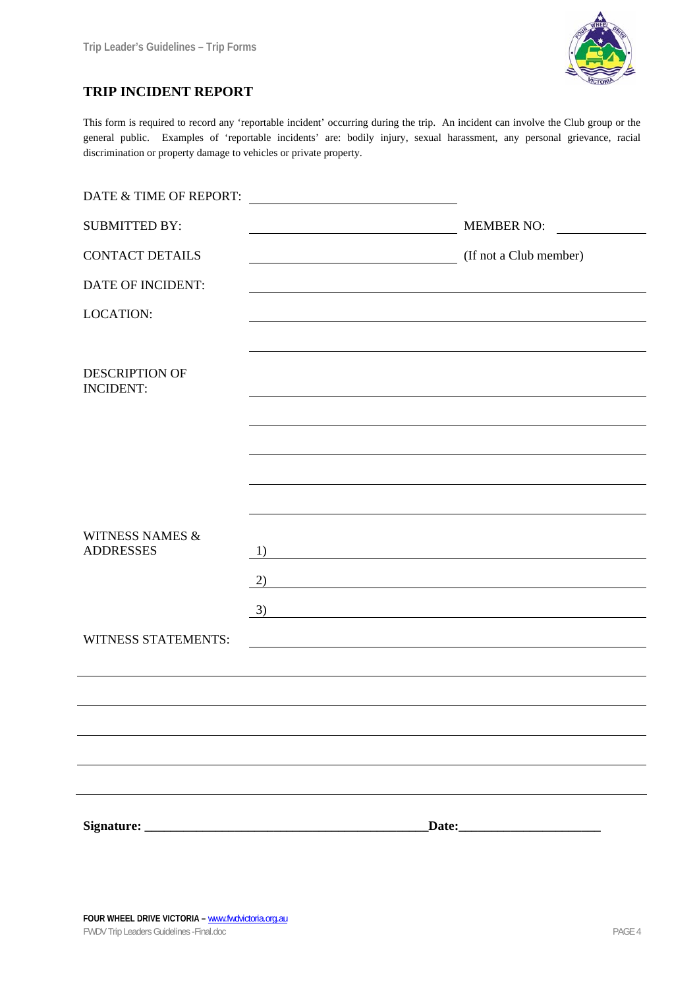

### **TRIP INCIDENT REPORT**

This form is required to record any 'reportable incident' occurring during the trip. An incident can involve the Club group or the general public. Examples of 'reportable incidents' are: bodily injury, sexual harassment, any personal grievance, racial discrimination or property damage to vehicles or private property.

| DATE & TIME OF REPORT:                         |                                                                                                                                                                                                                                                                                                                                      |
|------------------------------------------------|--------------------------------------------------------------------------------------------------------------------------------------------------------------------------------------------------------------------------------------------------------------------------------------------------------------------------------------|
| <b>SUBMITTED BY:</b>                           | <b>MEMBER NO:</b>                                                                                                                                                                                                                                                                                                                    |
| <b>CONTACT DETAILS</b>                         | (If not a Club member)<br><u> 1989 - Johann Stoff, Amerikaansk politiker (</u>                                                                                                                                                                                                                                                       |
| DATE OF INCIDENT:                              |                                                                                                                                                                                                                                                                                                                                      |
| <b>LOCATION:</b>                               |                                                                                                                                                                                                                                                                                                                                      |
| <b>DESCRIPTION OF</b><br><b>INCIDENT:</b>      |                                                                                                                                                                                                                                                                                                                                      |
|                                                |                                                                                                                                                                                                                                                                                                                                      |
|                                                |                                                                                                                                                                                                                                                                                                                                      |
| <b>WITNESS NAMES &amp;</b><br><b>ADDRESSES</b> | 1)<br><u> 1980 - Johann Barbara, martxa amerikan personal (h. 1980).</u><br>2)<br><u> 1980 - Johann Barn, mars ann an t-Amhain Aonaich an t-Aonaich an t-Aonaich ann an t-Aonaich ann an t-Aonaich</u><br><u> 1980 - Johann Barn, mars ar breithinn ar chomhair an t-Alban ann an t-Alban ann an t-Alban ann an t-Alban an</u><br>3) |
| <b>WITNESS STATEMENTS:</b>                     | <u> 1989 - Johann Barbara, marka a shekara tsa 1989 - An tsa 1989 - An tsa 1989 - An tsa 1989 - An tsa 1989 - An</u>                                                                                                                                                                                                                 |
|                                                |                                                                                                                                                                                                                                                                                                                                      |
|                                                |                                                                                                                                                                                                                                                                                                                                      |
|                                                |                                                                                                                                                                                                                                                                                                                                      |
|                                                |                                                                                                                                                                                                                                                                                                                                      |
|                                                |                                                                                                                                                                                                                                                                                                                                      |
|                                                | Date:                                                                                                                                                                                                                                                                                                                                |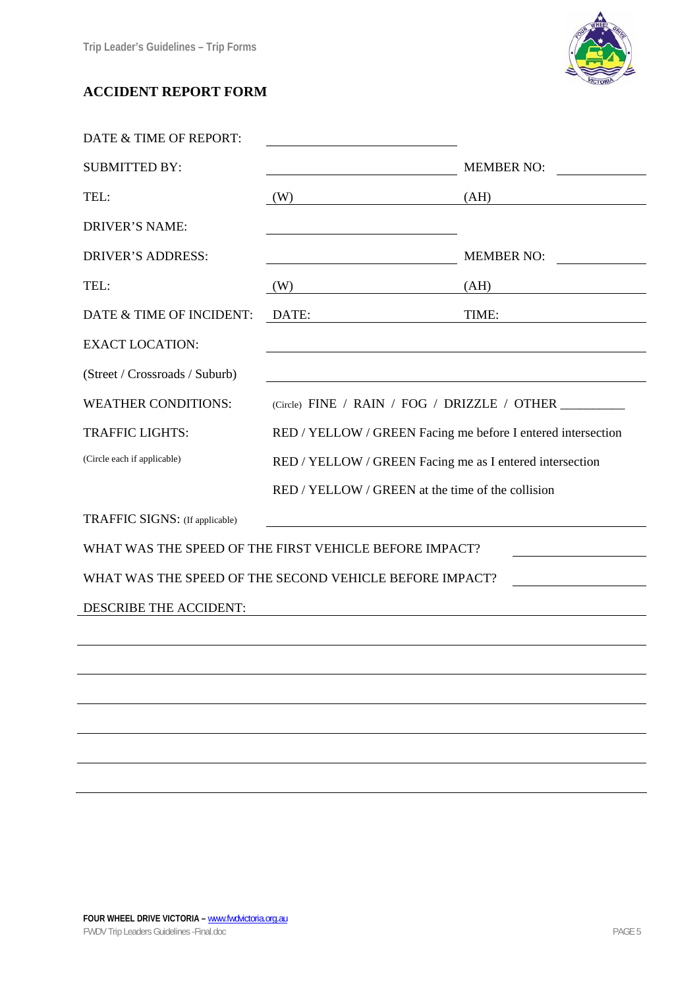

# **ACCIDENT REPORT FORM**

| DATE & TIME OF REPORT:         |                                                              |                                                      |  |  |
|--------------------------------|--------------------------------------------------------------|------------------------------------------------------|--|--|
| <b>SUBMITTED BY:</b>           |                                                              | <b>MEMBER NO:</b>                                    |  |  |
| TEL:                           | (W)                                                          | (AH)                                                 |  |  |
| <b>DRIVER'S NAME:</b>          |                                                              |                                                      |  |  |
| <b>DRIVER'S ADDRESS:</b>       |                                                              | <b>MEMBER NO:</b>                                    |  |  |
| TEL:                           | (W)                                                          | (AH)<br><u> 1989 - Andrea Andrew Maria (b. 1989)</u> |  |  |
| DATE & TIME OF INCIDENT:       | DATE:                                                        | TIME:                                                |  |  |
| <b>EXACT LOCATION:</b>         |                                                              |                                                      |  |  |
| (Street / Crossroads / Suburb) |                                                              |                                                      |  |  |
| <b>WEATHER CONDITIONS:</b>     |                                                              |                                                      |  |  |
| <b>TRAFFIC LIGHTS:</b>         | RED / YELLOW / GREEN Facing me before I entered intersection |                                                      |  |  |
| (Circle each if applicable)    | RED / YELLOW / GREEN Facing me as I entered intersection     |                                                      |  |  |
|                                | RED / YELLOW / GREEN at the time of the collision            |                                                      |  |  |
| TRAFFIC SIGNS: (If applicable) | <u> 1989 - Johann Stein, fransk politik (f. 1989)</u>        |                                                      |  |  |
|                                | WHAT WAS THE SPEED OF THE FIRST VEHICLE BEFORE IMPACT?       |                                                      |  |  |
|                                | WHAT WAS THE SPEED OF THE SECOND VEHICLE BEFORE IMPACT?      |                                                      |  |  |
| DESCRIBE THE ACCIDENT:         |                                                              |                                                      |  |  |
|                                |                                                              |                                                      |  |  |
|                                |                                                              |                                                      |  |  |
|                                |                                                              |                                                      |  |  |
|                                |                                                              |                                                      |  |  |
|                                |                                                              |                                                      |  |  |
|                                |                                                              |                                                      |  |  |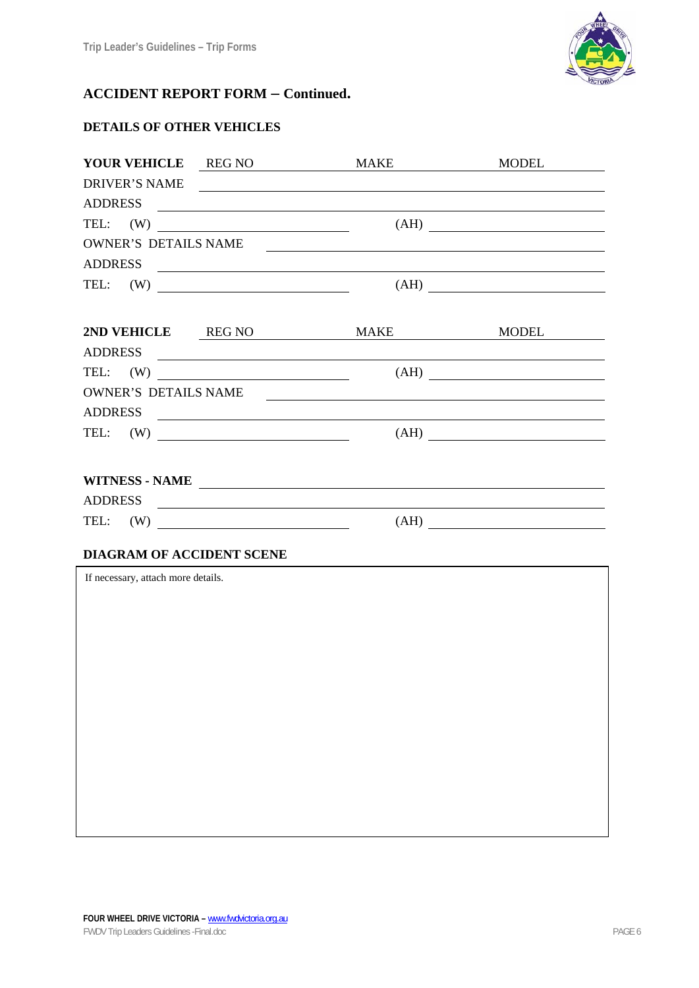

# **ACCIDENT REPORT FORM – Continued.**

## **DETAILS OF OTHER VEHICLES**

| YOUR VEHICLE REG NO         |                | MAKE                                                        | <b>MODEL</b>                                           |  |  |  |  |  |
|-----------------------------|----------------|-------------------------------------------------------------|--------------------------------------------------------|--|--|--|--|--|
| DRIVER'S NAME               |                |                                                             |                                                        |  |  |  |  |  |
| ADDRESS                     |                |                                                             |                                                        |  |  |  |  |  |
| TEL: $(W)$                  |                |                                                             |                                                        |  |  |  |  |  |
| <b>OWNER'S DETAILS NAME</b> |                | <u> 1989 - Johann Stoff, Amerikaansk politiker († 1908)</u> |                                                        |  |  |  |  |  |
|                             |                |                                                             |                                                        |  |  |  |  |  |
| TEL: $(W)$                  |                |                                                             | (AH)                                                   |  |  |  |  |  |
|                             |                |                                                             |                                                        |  |  |  |  |  |
|                             |                | 2ND VEHICLE REG NO MAKE                                     | MODEL                                                  |  |  |  |  |  |
| ADDRESS                     |                |                                                             |                                                        |  |  |  |  |  |
| TEL: $(W)$                  |                |                                                             | $(AH) \qquad \qquad \qquad \overbrace{\qquad \qquad }$ |  |  |  |  |  |
| <b>OWNER'S DETAILS NAME</b> |                | <u> 1989 - Andrea Andrew Maria (h. 1989).</u>               |                                                        |  |  |  |  |  |
|                             |                |                                                             |                                                        |  |  |  |  |  |
| TEL: $(W)$                  |                |                                                             | $(AH)$                                                 |  |  |  |  |  |
|                             |                |                                                             |                                                        |  |  |  |  |  |
|                             | WITNESS - NAME |                                                             |                                                        |  |  |  |  |  |
|                             |                |                                                             |                                                        |  |  |  |  |  |
| TEL: $(W)$                  |                |                                                             | (AH)                                                   |  |  |  |  |  |
|                             |                |                                                             |                                                        |  |  |  |  |  |

### **DIAGRAM OF ACCIDENT SCENE**

If necessary, attach more details.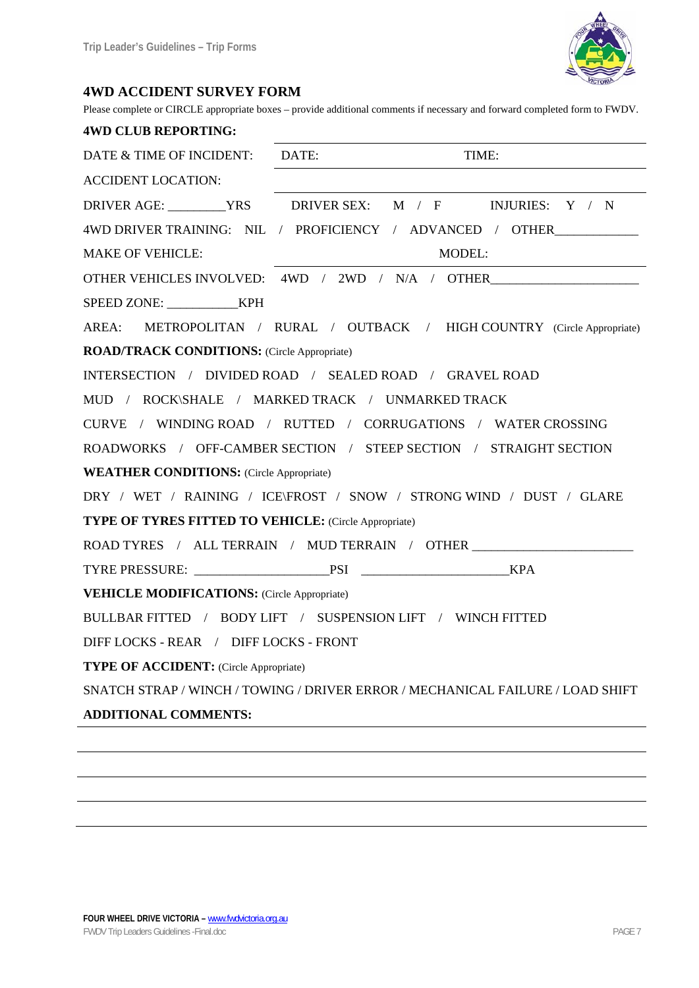

#### **4WD ACCIDENT SURVEY FORM**

Please complete or CIRCLE appropriate boxes – provide additional comments if necessary and forward completed form to FWDV.

| <b>4WD CLUB REPORTING:</b>                                                       |                                                  |  |       |  |
|----------------------------------------------------------------------------------|--------------------------------------------------|--|-------|--|
| DATE & TIME OF INCIDENT: DATE:                                                   |                                                  |  | TIME: |  |
| ACCIDENT LOCATION:                                                               |                                                  |  |       |  |
| DRIVER AGE: _________YRS DRIVER SEX: M / F INJURIES: Y / N                       |                                                  |  |       |  |
| 4WD DRIVER TRAINING: NIL / PROFICIENCY / ADVANCED / OTHER                        |                                                  |  |       |  |
| <b>MAKE OF VEHICLE:</b>                                                          | MODEL:                                           |  |       |  |
|                                                                                  | OTHER VEHICLES INVOLVED: 4WD / 2WD / N/A / OTHER |  |       |  |
|                                                                                  |                                                  |  |       |  |
| AREA: METROPOLITAN / RURAL / OUTBACK / HIGH COUNTRY (Circle Appropriate)         |                                                  |  |       |  |
| <b>ROAD/TRACK CONDITIONS:</b> (Circle Appropriate)                               |                                                  |  |       |  |
| INTERSECTION / DIVIDED ROAD / SEALED ROAD / GRAVEL ROAD                          |                                                  |  |       |  |
| MUD / ROCK\SHALE / MARKED TRACK / UNMARKED TRACK                                 |                                                  |  |       |  |
| CURVE / WINDING ROAD / RUTTED / CORRUGATIONS / WATER CROSSING                    |                                                  |  |       |  |
| ROADWORKS / OFF-CAMBER SECTION / STEEP SECTION / STRAIGHT SECTION                |                                                  |  |       |  |
| <b>WEATHER CONDITIONS:</b> (Circle Appropriate)                                  |                                                  |  |       |  |
| DRY / WET / RAINING / ICE\FROST / SNOW / STRONG WIND / DUST / GLARE              |                                                  |  |       |  |
| <b>TYPE OF TYRES FITTED TO VEHICLE:</b> (Circle Appropriate)                     |                                                  |  |       |  |
| ROAD TYRES / ALL TERRAIN / MUD TERRAIN / OTHER _________________________________ |                                                  |  |       |  |
|                                                                                  |                                                  |  |       |  |
| <b>VEHICLE MODIFICATIONS:</b> (Circle Appropriate)                               |                                                  |  |       |  |
| BULLBAR FITTED / BODY LIFT / SUSPENSION LIFT / WINCH FITTED                      |                                                  |  |       |  |
| DIFF LOCKS - REAR / DIFF LOCKS - FRONT                                           |                                                  |  |       |  |
| <b>TYPE OF ACCIDENT:</b> (Circle Appropriate)                                    |                                                  |  |       |  |
| SNATCH STRAP / WINCH / TOWING / DRIVER ERROR / MECHANICAL FAILURE / LOAD SHIFT   |                                                  |  |       |  |
| <b>ADDITIONAL COMMENTS:</b>                                                      |                                                  |  |       |  |
|                                                                                  |                                                  |  |       |  |